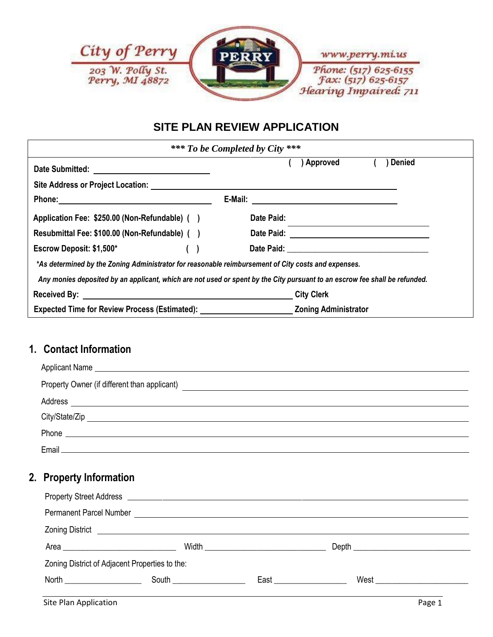

# **SITE PLAN REVIEW APPLICATION**

|                                                                                                     | *** To be Completed by City ***                                                                                            |
|-----------------------------------------------------------------------------------------------------|----------------------------------------------------------------------------------------------------------------------------|
|                                                                                                     | Denied<br>Approved                                                                                                         |
|                                                                                                     |                                                                                                                            |
|                                                                                                     |                                                                                                                            |
| Application Fee: \$250.00 (Non-Refundable) ()                                                       | Date Paid:                                                                                                                 |
| Resubmittal Fee: \$100.00 (Non-Refundable) ()                                                       |                                                                                                                            |
| Escrow Deposit: $$1,500^*$ ()                                                                       |                                                                                                                            |
| *As determined by the Zoning Administrator for reasonable reimbursement of City costs and expenses. |                                                                                                                            |
|                                                                                                     | Any monies deposited by an applicant, which are not used or spent by the City pursuant to an escrow fee shall be refunded. |
|                                                                                                     | <b>City Clerk</b>                                                                                                          |
|                                                                                                     |                                                                                                                            |

# **1. Contact Information**

| Property Owner (if different than applicant)                                                                                            |  |
|-----------------------------------------------------------------------------------------------------------------------------------------|--|
| Address                                                                                                                                 |  |
| City/State/Zip<br><u> 1989 - Johann John Stein, markin sanat masjid a shekara ta 1989 a shekara ta 1989 a shekara ta 1989 a shekara</u> |  |
| Phone<br><u> Alexandria de la contrada de la contrada de la contrada de la contrada de la contrada de la contrada de la c</u>           |  |
| Email ________________                                                                                                                  |  |

### **2. Property Information**

| <b>Permanent Parcel Number</b> |                                                                                                                                                                                                                                      |                                          |                               |  |
|--------------------------------|--------------------------------------------------------------------------------------------------------------------------------------------------------------------------------------------------------------------------------------|------------------------------------------|-------------------------------|--|
|                                | Zoning District <u>Executive Contract Contract Contract Contract Contract Contract Contract Contract Contract Contract Contract Contract Contract Contract Contract Contract Contract Contract Contract Contract Contract Contra</u> |                                          |                               |  |
|                                |                                                                                                                                                                                                                                      | Width <u>___________________________</u> | Depth <u>Depth</u>            |  |
|                                | Zoning District of Adjacent Properties to the:                                                                                                                                                                                       |                                          |                               |  |
|                                | <b>South South South South South</b>                                                                                                                                                                                                 |                                          | West<br>East <b>Executive</b> |  |
|                                |                                                                                                                                                                                                                                      |                                          |                               |  |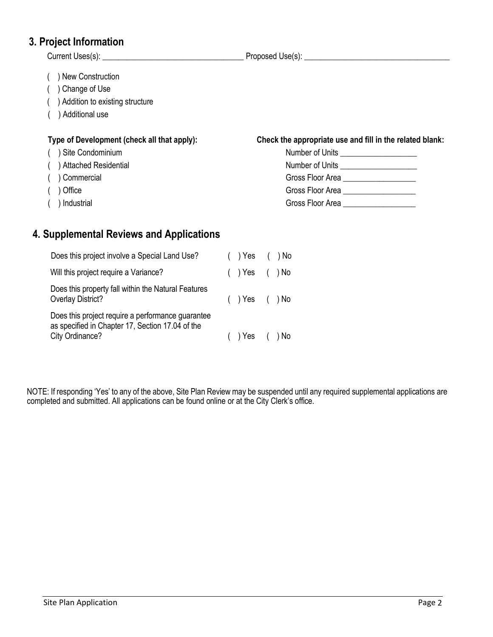#### **3. Project Information**

 Current Uses(s): \_\_\_\_\_\_\_\_\_\_\_\_\_\_\_\_\_\_\_\_\_\_\_\_\_\_\_\_\_\_\_\_\_\_\_ Proposed Use(s): \_\_\_\_\_\_\_\_\_\_\_\_\_\_\_\_\_\_\_\_\_\_\_\_\_\_\_\_\_\_\_\_\_\_\_\_ ( ) New Construction ( ) Change of Use ( ) Addition to existing structure ( ) Additional use **Type of Development (check all that apply): Check the appropriate use and fill in the related blank:** ( ) Site Condominium  $($  ) Attached Residential  $($   $)$  Commercial ( ) Office Gross Floor Area \_\_\_\_\_\_\_\_\_\_\_\_\_\_\_\_\_\_

 $($  ) Industrial

#### **4. Supplemental Reviews and Applications**

| Does this project involve a Special Land Use?                                                                            | $( )$ Yes $( )$ No |  |
|--------------------------------------------------------------------------------------------------------------------------|--------------------|--|
| Will this project require a Variance?                                                                                    | $( )$ Yes $( )$ No |  |
| Does this property fall within the Natural Features<br><b>Overlay District?</b>                                          | $( )$ Yes $( )$ No |  |
| Does this project require a performance guarantee<br>as specified in Chapter 17, Section 17.04 of the<br>City Ordinance? | Yes                |  |
|                                                                                                                          |                    |  |

NOTE: If responding 'Yes' to any of the above, Site Plan Review may be suspended until any required supplemental applications are completed and submitted. All applications can be found online or at the City Clerk's office.

| Number of Units  |
|------------------|
| Number of Units  |
| Gross Floor Area |
| Gross Floor Area |
| Gross Floor Area |
|                  |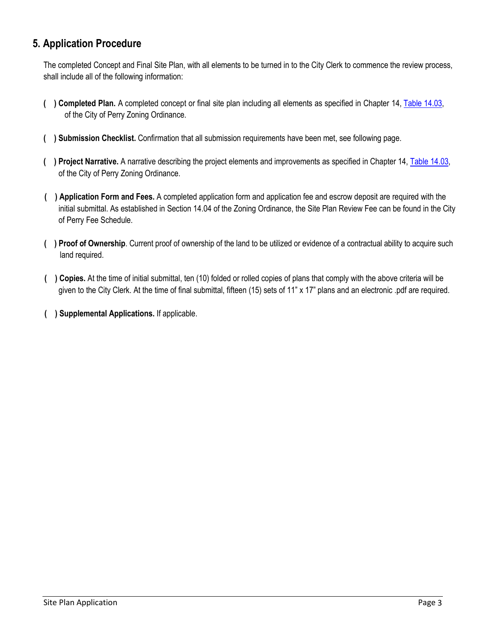### **5. Application Procedure**

The completed Concept and Final Site Plan, with all elements to be turned in to the City Clerk to commence the review process, shall include all of the following information:

- **( ) Completed Plan.** A completed concept or final site plan including all elements as specified in Chapter 14, Table 14.03, of the City of Perry Zoning Ordinance.
- **( ) Submission Checklist.** Confirmation that all submission requirements have been met, see following page.
- **( ) Project Narrative.** A narrative describing the project elements and improvements as specified in Chapter 14, Table 14.03, of the City of Perry Zoning Ordinance.
- **( ) Application Form and Fees.** A completed application form and application fee and escrow deposit are required with the initial submittal. As established in Section 14.04 of the Zoning Ordinance, the Site Plan Review Fee can be found in the City of Perry Fee Schedule.
- **( ) Proof of Ownership**. Current proof of ownership of the land to be utilized or evidence of a contractual ability to acquire such land required.
- **( ) Copies.** At the time of initial submittal, ten (10) folded or rolled copies of plans that comply with the above criteria will be given to the City Clerk. At the time of final submittal, fifteen (15) sets of 11" x 17" plans and an electronic .pdf are required.
- **( ) Supplemental Applications.** If applicable.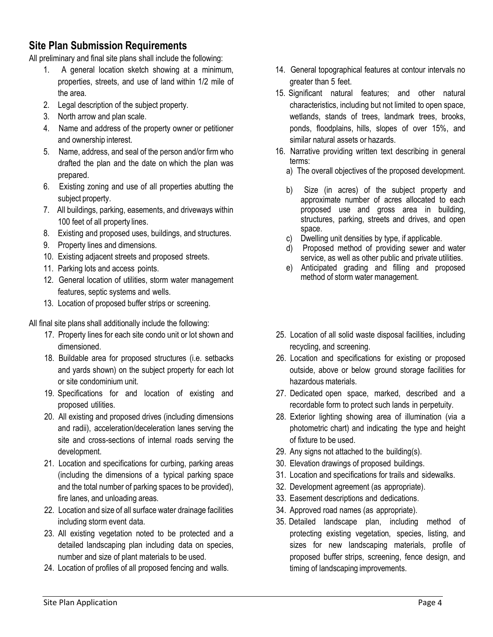## **Site Plan Submission Requirements**

All preliminary and final site plans shall include the following:

- 1. A general location sketch showing at a minimum, properties, streets, and use of land within 1/2 mile of the area.
- 2. Legal description of the subject property.
- 3. North arrow and plan scale.
- 4. Name and address of the property owner or petitioner and ownership interest.
- 5. Name, address, and seal of the person and/or firm who drafted the plan and the date on which the plan was prepared.
- 6. Existing zoning and use of all properties abutting the subject property.
- 7. All buildings, parking, easements, and driveways within 100 feet of all property lines.
- 8. Existing and proposed uses, buildings, and structures.
- 9. Property lines and dimensions.
- 10. Existing adjacent streets and proposed streets.
- 11. Parking lots and access points.
- 12. General location of utilities, storm water management features, septic systems and wells.
- 13. Location of proposed buffer strips or screening.

All final site plans shall additionally include the following:

- 17. Property lines for each site condo unit or lot shown and dimensioned.
- 18. Buildable area for proposed structures (i.e. setbacks and yards shown) on the subject property for each lot or site condominium unit.
- 19. Specifications for and location of existing and proposed utilities.
- 20. All existing and proposed drives (including dimensions and radii), acceleration/deceleration lanes serving the site and cross-sections of internal roads serving the development.
- 21. Location and specifications for curbing, parking areas (including the dimensions of a typical parking space and the total number of parking spaces to be provided), fire lanes, and unloading areas.
- 22. Location and size of all surface water drainage facilities including storm event data.
- 23. All existing vegetation noted to be protected and a detailed landscaping plan including data on species, number and size of plant materials to be used.
- 24. Location of profiles of all proposed fencing and walls.
- 14. General topographical features at contour intervals no greater than 5 feet.
- 15. Significant natural features; and other natural characteristics, including but not limited to open space, wetlands, stands of trees, landmark trees, brooks, ponds, floodplains, hills, slopes of over 15%, and similar natural assets or hazards.
- 16. Narrative providing written text describing in general terms:
	- a) The overall objectives of the proposed development.
	- b) Size (in acres) of the subject property and approximate number of acres allocated to each proposed use and gross area in building, structures, parking, streets and drives, and open space.
	- c) Dwelling unit densities by type, if applicable.
	- d) Proposed method of providing sewer and water service, as well as other public and private utilities.
	- e) Anticipated grading and filling and proposed method of storm water management.
- 25. Location of all solid waste disposal facilities, including recycling, and screening.
- 26. Location and specifications for existing or proposed outside, above or below ground storage facilities for hazardous materials.
- 27. Dedicated open space, marked, described and a recordable form to protect such lands in perpetuity.
- 28. Exterior lighting showing area of illumination (via a photometric chart) and indicating the type and height of fixture to be used.
- 29. Any signs not attached to the building(s).
- 30. Elevation drawings of proposed buildings.
- 31. Location and specifications for trails and sidewalks.
- 32. Development agreement (as appropriate).
- 33. Easement descriptions and dedications.
- 34. Approved road names (as appropriate).
- 35. Detailed landscape plan, including method of protecting existing vegetation, species, listing, and sizes for new landscaping materials, profile of proposed buffer strips, screening, fence design, and timing of landscaping improvements.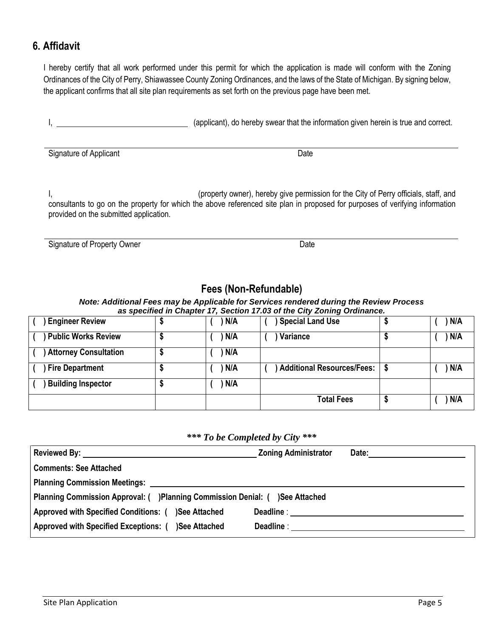#### **6. Affidavit**

I hereby certify that all work performed under this permit for which the application is made will conform with the Zoning Ordinances of the City of Perry, Shiawassee County Zoning Ordinances, and the laws of the State of Michigan. By signing below, the applicant confirms that all site plan requirements as set forth on the previous page have been met.

I, 1. 2008 (applicant), do hereby swear that the information given herein is true and correct.

Signature of Applicant Date

I, the contract of the City of Perry officials, staff, and in the City of Perry officials, staff, and consultants to go on the property for which the above referenced site plan in proposed for purposes of verifying information provided on the submitted application.

Signature of Property Owner Date

# **Fees (Non-Refundable)**

*Note: Additional Fees may be Applicable for Services rendered during the Review Process as specified in Chapter 17, Section 17.03 of the City Zoning Ordinance.*

| <b>Engineer Review</b>       | N/A | <b>Special Land Use</b>      | N/A |
|------------------------------|-----|------------------------------|-----|
| <b>Public Works Review</b>   | N/A | Variance                     | N/A |
| <b>Attorney Consultation</b> | N/A |                              |     |
| <b>Fire Department</b>       | N/A | ) Additional Resources/Fees: | N/A |
| <b>Building Inspector</b>    | N/A |                              |     |
|                              |     | <b>Total Fees</b>            | N/A |

#### *\*\*\* To be Completed by City \*\*\**

|                                                                              | <b>Zoning Administrator</b> | Date: _______________________ |
|------------------------------------------------------------------------------|-----------------------------|-------------------------------|
| <b>Comments: See Attached</b>                                                |                             |                               |
|                                                                              |                             |                               |
| Planning Commission Approval: ( )Planning Commission Denial: ( )See Attached |                             |                               |
| Approved with Specified Conditions: ( )See Attached                          |                             |                               |
| Approved with Specified Exceptions: ( )See Attached                          |                             |                               |